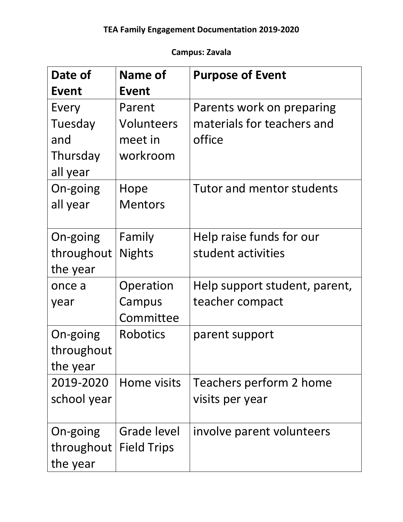## **Campus: Zavala**

| Date of     | Name of            | <b>Purpose of Event</b>       |
|-------------|--------------------|-------------------------------|
| Event       | <b>Event</b>       |                               |
| Every       | Parent             | Parents work on preparing     |
| Tuesday     | Volunteers         | materials for teachers and    |
| and         | meet in            | office                        |
| Thursday    | workroom           |                               |
| all year    |                    |                               |
| On-going    | Hope               | Tutor and mentor students     |
| all year    | <b>Mentors</b>     |                               |
|             |                    |                               |
| On-going    | Family             | Help raise funds for our      |
| throughout  | <b>Nights</b>      | student activities            |
| the year    |                    |                               |
| once a      | Operation          | Help support student, parent, |
| year        | Campus             | teacher compact               |
|             | Committee          |                               |
| On-going    | <b>Robotics</b>    | parent support                |
| throughout  |                    |                               |
| the year    |                    |                               |
| 2019-2020   | Home visits        | Teachers perform 2 home       |
| school year |                    | visits per year               |
|             |                    |                               |
| On-going    | Grade level        | involve parent volunteers     |
| throughout  | <b>Field Trips</b> |                               |
| the year    |                    |                               |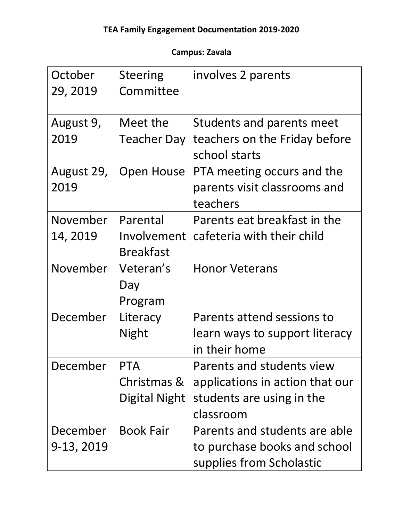## **Campus: Zavala**

| October<br>29, 2019    | <b>Steering</b><br>Committee                | involves 2 parents                                                                                     |
|------------------------|---------------------------------------------|--------------------------------------------------------------------------------------------------------|
| August 9,<br>2019      | Meet the<br><b>Teacher Day</b>              | Students and parents meet<br>teachers on the Friday before<br>school starts                            |
| August 29,<br>2019     | Open House                                  | PTA meeting occurs and the<br>parents visit classrooms and<br>teachers                                 |
| November<br>14, 2019   | Parental<br>Involvement<br><b>Breakfast</b> | Parents eat breakfast in the<br>cafeteria with their child                                             |
| November               | Veteran's<br>Day<br>Program                 | <b>Honor Veterans</b>                                                                                  |
| December               | Literacy<br>Night                           | Parents attend sessions to<br>learn ways to support literacy<br>in their home                          |
| December               | <b>PTA</b><br>Christmas &<br>Digital Night  | Parents and students view<br>applications in action that our<br>students are using in the<br>classroom |
| December<br>9-13, 2019 | <b>Book Fair</b>                            | Parents and students are able<br>to purchase books and school<br>supplies from Scholastic              |